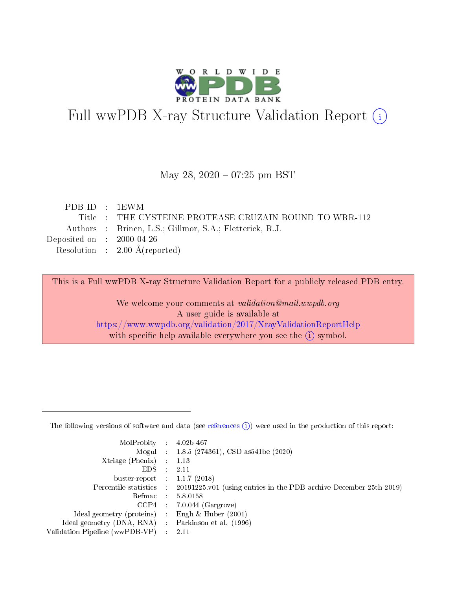

# Full wwPDB X-ray Structure Validation Report (i)

#### May 28, 2020 - 07:25 pm BST

| PDBID : 1EWM                |                                                         |
|-----------------------------|---------------------------------------------------------|
|                             | Title : THE CYSTEINE PROTEASE CRUZAIN BOUND TO WRR-112  |
|                             | Authors : Brinen, L.S.; Gillmor, S.A.; Fletterick, R.J. |
| Deposited on : $2000-04-26$ |                                                         |
|                             | Resolution : $2.00 \text{ Å}$ (reported)                |
|                             |                                                         |

This is a Full wwPDB X-ray Structure Validation Report for a publicly released PDB entry.

We welcome your comments at validation@mail.wwpdb.org A user guide is available at <https://www.wwpdb.org/validation/2017/XrayValidationReportHelp> with specific help available everywhere you see the  $(i)$  symbol.

The following versions of software and data (see [references](https://www.wwpdb.org/validation/2017/XrayValidationReportHelp#references)  $(1)$ ) were used in the production of this report:

| MolProbity :                   |               | $4.02b - 467$                                                               |
|--------------------------------|---------------|-----------------------------------------------------------------------------|
|                                |               | Mogul : $1.8.5$ (274361), CSD as 541be (2020)                               |
| $X$ triage (Phenix) :          |               | 1.13                                                                        |
| EDS.                           |               | 2.11                                                                        |
| buster-report : $1.1.7$ (2018) |               |                                                                             |
| Percentile statistics :        |               | $20191225 \text{v}01$ (using entries in the PDB archive December 25th 2019) |
| Refmac :                       |               | 5.8.0158                                                                    |
| $CCP4$ :                       |               | $7.0.044$ (Gargrove)                                                        |
| Ideal geometry (proteins) :    |               | Engh $\&$ Huber (2001)                                                      |
| Ideal geometry (DNA, RNA) :    |               | Parkinson et al. (1996)                                                     |
| Validation Pipeline (wwPDB-VP) | $\mathcal{L}$ | 2.11                                                                        |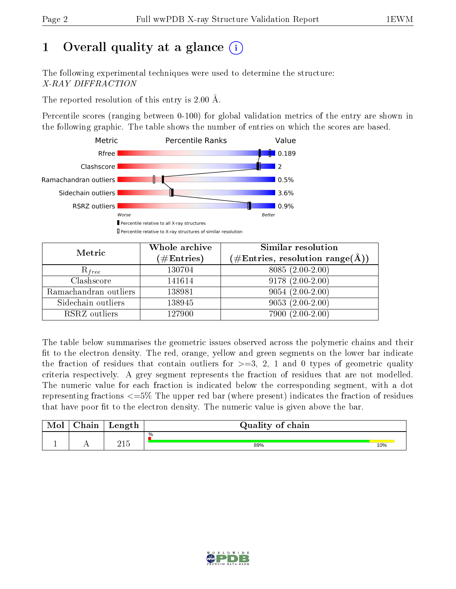# 1 [O](https://www.wwpdb.org/validation/2017/XrayValidationReportHelp#overall_quality)verall quality at a glance  $(i)$

The following experimental techniques were used to determine the structure: X-RAY DIFFRACTION

The reported resolution of this entry is 2.00 Å.

Percentile scores (ranging between 0-100) for global validation metrics of the entry are shown in the following graphic. The table shows the number of entries on which the scores are based.



| Metric                | Whole archive<br>$(\#\mathrm{Entries})$ | Similar resolution<br>$(\#\text{Entries},\,\text{resolution}\,\,\text{range}(\textup{\AA}))$ |
|-----------------------|-----------------------------------------|----------------------------------------------------------------------------------------------|
| $R_{free}$            | 130704                                  | $8085(2.00-2.00)$                                                                            |
| Clashscore            | 141614                                  | $9178(2.00-2.00)$                                                                            |
| Ramachandran outliers | 138981                                  | $9054(2.00-2.00)$                                                                            |
| Sidechain outliers    | 138945                                  | $9053(2.00-2.00)$                                                                            |
| RSRZ outliers         | 127900                                  | $7900(2.00-2.00)$                                                                            |

The table below summarises the geometric issues observed across the polymeric chains and their fit to the electron density. The red, orange, yellow and green segments on the lower bar indicate the fraction of residues that contain outliers for  $>=3, 2, 1$  and 0 types of geometric quality criteria respectively. A grey segment represents the fraction of residues that are not modelled. The numeric value for each fraction is indicated below the corresponding segment, with a dot representing fractions  $\epsilon=5\%$  The upper red bar (where present) indicates the fraction of residues that have poor fit to the electron density. The numeric value is given above the bar.

| Mol | $\sim$ $\sim$<br>hain | Length      | Quality of chain |     |
|-----|-----------------------|-------------|------------------|-----|
| л.  | . .                   | ว1 ⊭<br>∠⊥⊖ | %<br>89%         | 10% |

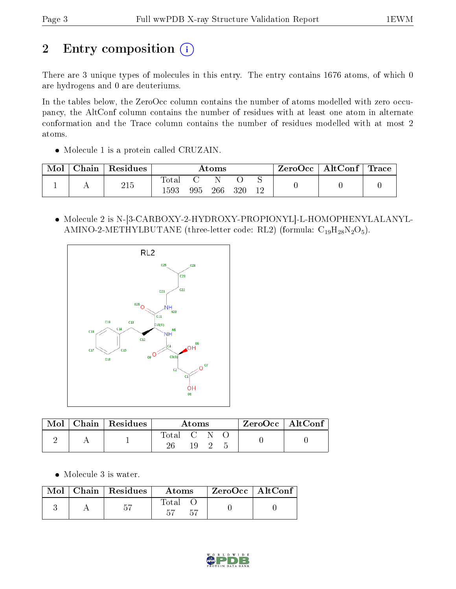# 2 Entry composition (i)

There are 3 unique types of molecules in this entry. The entry contains 1676 atoms, of which 0 are hydrogens and 0 are deuteriums.

In the tables below, the ZeroOcc column contains the number of atoms modelled with zero occupancy, the AltConf column contains the number of residues with at least one atom in alternate conformation and the Trace column contains the number of residues modelled with at most 2 atoms.

• Molecule 1 is a protein called CRUZAIN.

| Mol | ${\rm Chain}$ + | Residues | Atoms    |     |     |     | $\text{ZeroOcc} \mid \text{AltConf} \mid \text{Trace}$ |  |
|-----|-----------------|----------|----------|-----|-----|-----|--------------------------------------------------------|--|
|     |                 | 215      | Total    |     |     |     |                                                        |  |
|     |                 |          | $1593\,$ | 995 | 266 | 320 |                                                        |  |

 Molecule 2 is N-[3-CARBOXY-2-HYDROXY-PROPIONYL]-L-HOMOPHENYLALANYL-AMINO-2-METHYLBUTANE (three-letter code: RL2) (formula:  $C_{19}H_{28}N_2O_5$ ).



|  | $\overline{\text{Mol}}$ Chain   Residues | Atoms       |  |      | ZeroOcc   AltConf |  |
|--|------------------------------------------|-------------|--|------|-------------------|--|
|  |                                          | Total C N O |  | 19 2 |                   |  |

Molecule 3 is water.

| Mol | $\mid$ Chain $\mid$ Residues | Atoms | $ZeroOcc \   \ AltConf$ |  |
|-----|------------------------------|-------|-------------------------|--|
|     | 57                           | Total |                         |  |

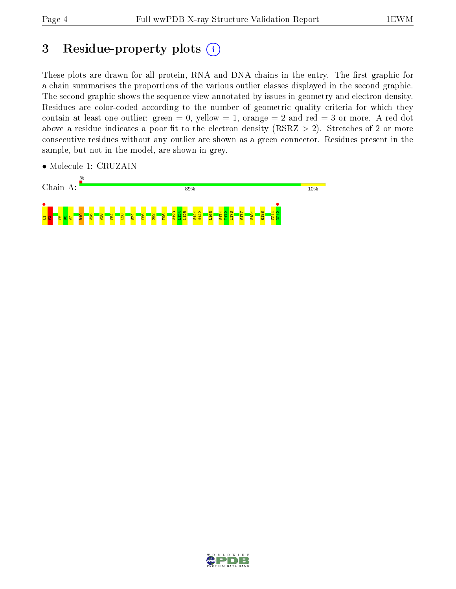# 3 Residue-property plots  $(i)$

These plots are drawn for all protein, RNA and DNA chains in the entry. The first graphic for a chain summarises the proportions of the various outlier classes displayed in the second graphic. The second graphic shows the sequence view annotated by issues in geometry and electron density. Residues are color-coded according to the number of geometric quality criteria for which they contain at least one outlier: green  $= 0$ , yellow  $= 1$ , orange  $= 2$  and red  $= 3$  or more. A red dot above a residue indicates a poor fit to the electron density (RSRZ  $> 2$ ). Stretches of 2 or more consecutive residues without any outlier are shown as a green connector. Residues present in the sample, but not in the model, are shown in grey.



• Molecule 1: CRUZAIN

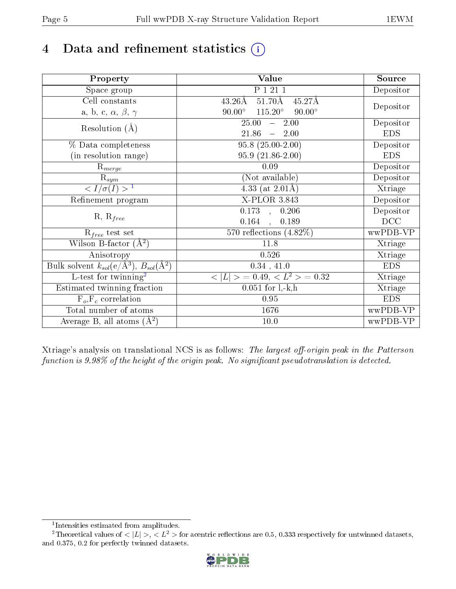# 4 Data and refinement statistics  $(i)$

| Property                                                             | Value                                            | Source     |
|----------------------------------------------------------------------|--------------------------------------------------|------------|
| Space group                                                          | P 1 21 1                                         | Depositor  |
| Cell constants                                                       | $51.70\text{\AA}$<br>$43.26\text{\AA}$<br>45.27Å |            |
| a, b, c, $\alpha$ , $\beta$ , $\gamma$                               | $115.20^\circ$<br>$90.00^\circ$<br>$90.00^\circ$ | Depositor  |
| Resolution $(A)$                                                     | 25.00<br>$-2.00$                                 | Depositor  |
|                                                                      | 21.86<br>$-2.00$                                 | <b>EDS</b> |
| % Data completeness                                                  | $95.8(25.00-2.00)$                               | Depositor  |
| (in resolution range)                                                | $95.9(21.86-2.00)$                               | <b>EDS</b> |
| $\mathrm{R}_{merge}$                                                 | 0.09                                             | Depositor  |
| $\mathrm{R}_{sym}$                                                   | (Not available)                                  | Depositor  |
| $\langle I/\sigma(I) \rangle^{-1}$                                   | 4.33 (at $2.01\text{\AA}$ )                      | Xtriage    |
| Refinement program                                                   | $X$ -PLOR 3.843                                  | Depositor  |
|                                                                      | $0.173$ , $0.206$                                | Depositor  |
| $R, R_{free}$                                                        | 0.164<br>0.189<br>$\frac{1}{2}$                  | DCC        |
| $R_{free}$ test set                                                  | 570 reflections $(4.82\%)$                       | wwPDB-VP   |
| Wilson B-factor $(A^2)$                                              | 11.8                                             | Xtriage    |
| Anisotropy                                                           | 0.526                                            | Xtriage    |
| Bulk solvent $k_{sol}(e/\mathring{A}^3)$ , $B_{sol}(\mathring{A}^2)$ | 0.34, 41.0                                       | <b>EDS</b> |
| $\overline{L-test for}$ twinning <sup>2</sup>                        | $< L >$ = 0.49, $< L^2 >$ = 0.32                 | Xtriage    |
| Estimated twinning fraction                                          | $0.051$ for $1, -k, h$                           | Xtriage    |
| $F_o, F_c$ correlation                                               | 0.95                                             | <b>EDS</b> |
| Total number of atoms                                                | 1676                                             | wwPDB-VP   |
| Average B, all atoms $(A^2)$                                         | $10.0$                                           | wwPDB-VP   |

Xtriage's analysis on translational NCS is as follows: The largest off-origin peak in the Patterson function is  $9.98\%$  of the height of the origin peak. No significant pseudotranslation is detected.

<sup>&</sup>lt;sup>2</sup>Theoretical values of  $\langle |L| \rangle$ ,  $\langle L^2 \rangle$  for acentric reflections are 0.5, 0.333 respectively for untwinned datasets, and 0.375, 0.2 for perfectly twinned datasets.



<span id="page-4-1"></span><span id="page-4-0"></span><sup>1</sup> Intensities estimated from amplitudes.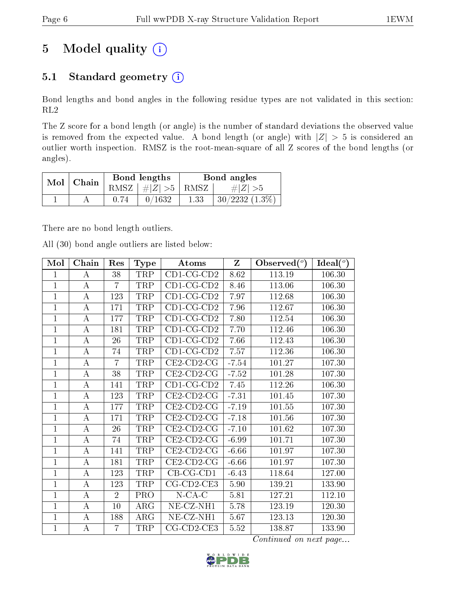# 5 Model quality  $(i)$

## 5.1 Standard geometry  $(i)$

Bond lengths and bond angles in the following residue types are not validated in this section: RL2

The Z score for a bond length (or angle) is the number of standard deviations the observed value is removed from the expected value. A bond length (or angle) with  $|Z| > 5$  is considered an outlier worth inspection. RMSZ is the root-mean-square of all Z scores of the bond lengths (or angles).

| Mol   Chain |      | Bond lengths                 | Bond angles |                  |  |
|-------------|------|------------------------------|-------------|------------------|--|
|             |      | RMSZ $\mid \#Z \mid >5$ RMSZ |             | $\# Z  > 5$      |  |
|             | 0.74 | 0/1632                       | 1.33        | $30/2232(1.3\%)$ |  |

There are no bond length outliers.

All (30) bond angle outliers are listed below:

| Mol            | Chain            | Res            | <b>Type</b> | <b>Atoms</b>          | $\mathbf{Z}$      | Observed $(°)$ | Ideal $(^\circ)$ |
|----------------|------------------|----------------|-------------|-----------------------|-------------------|----------------|------------------|
| $\mathbf{1}$   | А                | 38             | <b>TRP</b>  | $CD1$ -CG-CD2         | 8.62              | 113.19         | 106.30           |
| $\mathbf{1}$   | A                | $\overline{7}$ | TRP         | $CD1$ -CG-CD2         | 8.46              | 113.06         | 106.30           |
| $\overline{1}$ | $\bf{A}$         | 123            | TRP         | $CD1$ -CG-CD2         | $\overline{7}.97$ | 112.68         | 106.30           |
| $\mathbf{1}$   | $\bf{A}$         | 171            | TRP         | $CD1$ -CG-CD2         | 7.96              | 112.67         | 106.30           |
| $\mathbf{1}$   | $\boldsymbol{A}$ | 177            | TRP         | $CD1$ -CG-CD2         | 7.80              | 112.54         | 106.30           |
| $\mathbf 1$    | A                | 181            | TRP         | $CD1-CG-CD2$          | 7.70              | 112.46         | 106.30           |
| $\mathbf{1}$   | A                | 26             | TRP         | $CD1$ -CG-CD2         | 7.66              | 112.43         | 106.30           |
| $\mathbf{1}$   | $\bf{A}$         | 74             | TRP         | $CD1-CG-CD2$          | 7.57              | 112.36         | 106.30           |
| $\mathbf{1}$   | $\bf{A}$         | $\overline{7}$ | TRP         | $CE2$ -CD2-CG         | $-7.54$           | 101.27         | 107.30           |
| $\mathbf 1$    | $\boldsymbol{A}$ | 38             | TRP         | $CE2$ -CD2-CG         | $-7.52$           | 101.28         | 107.30           |
| $\mathbf{1}$   | А                | 141            | TRP         | $CD1-CG-CD2$          | 7.45              | 112.26         | 106.30           |
| $\mathbf{1}$   | А                | 123            | TRP         | $CE2$ -CD2-CG         | $-7.31$           | 101.45         | 107.30           |
| $\mathbf{1}$   | $\overline{A}$   | 177            | TRP         | $CE2$ -CD2-CG         | $-7.19$           | 101.55         | 107.30           |
| $\mathbf{1}$   | $\bf{A}$         | 171            | TRP         | $CE2$ -CD2-CG         | $-7.18$           | 101.56         | 107.30           |
| $\mathbf{1}$   | $\bf{A}$         | 26             | TRP         | $CE2$ -CD2-CG         | $-7.10$           | 101.62         | 107.30           |
| $\mathbf{1}$   | $\boldsymbol{A}$ | 74             | TRP         | $CE2$ -CD2-CG         | $-6.99$           | 101.71         | 107.30           |
| $\mathbf 1$    | $\bf{A}$         | 141            | TRP         | $CE2$ -CD2-CG         | $-6.66$           | 101.97         | 107.30           |
| $\mathbf{1}$   | $\bf{A}$         | 181            | <b>TRP</b>  | $CE2$ -CD2-CG         | $-6.66$           | 101.97         | 107.30           |
| $\mathbf{1}$   | $\bf{A}$         | 123            | TRP         | $CB-CG-CD1$           | $-6.43$           | 118.64         | 127.00           |
| $\overline{1}$ | $\bf{A}$         | 123            | TRP         | $CG$ - $CD$ 2- $CE3$  | 5.90              | 139.21         | 133.90           |
| $\overline{1}$ | $\bf{A}$         | $\overline{2}$ | PRO         | $N$ -CA-C             | 5.81              | 127.21         | 112.10           |
| $\mathbf{1}$   | А                | 10             | $\rm{ARG}$  | NE-CZ-NH1             | 5.78              | 123.19         | 120.30           |
| $\overline{1}$ | $\bf{A}$         | 188            | ARG         | NE-CZ-NH1             | 5.67              | 123.13         | 120.30           |
| $\mathbf{1}$   | А                | $\overline{7}$ | TRP         | $CG$ - $CD$ 2- $CE$ 3 | 5.52              | 138.87         | 133.90           |

Continued on next page...

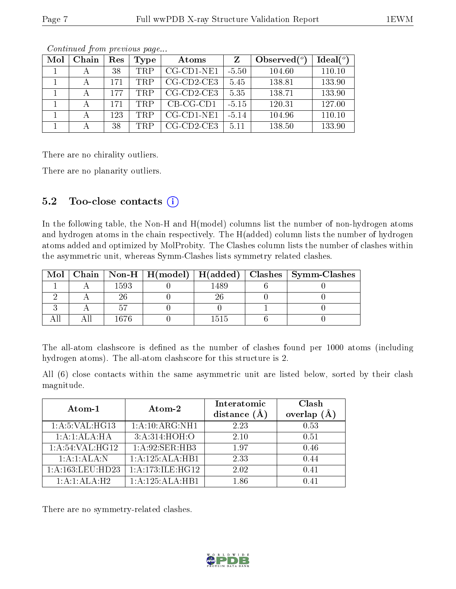| Mol | Chain | Res | Type | Atoms                | Z       | Observed $(°)$ | Ideal(°) |
|-----|-------|-----|------|----------------------|---------|----------------|----------|
|     |       | 38  | TRP  | $CG$ - $CD1$ - $NE1$ | $-5.50$ | 104.60         | 110.10   |
|     |       | 171 | TRP  | $CG$ - $CD2$ - $CE3$ | 5.45    | 138.81         | 133.90   |
|     |       | 177 | TRP  | $CG$ -CD2-CE3        | 5.35    | 138.71         | 133.90   |
|     |       | 171 | TRP  | $CB-CG-CD1$          | $-5.15$ | 120.31         | 127.00   |
|     |       | 123 | TRP  | $CG$ -CD1-NE1        | $-5.14$ | 104.96         | 110.10   |
|     |       | 38  | TRP  | $CG$ - $CD2$ - $CE3$ | 5.11    | 138.50         | 133.90   |

Continued from previous page...

There are no chirality outliers.

There are no planarity outliers.

### 5.2 Too-close contacts  $\overline{()}$

In the following table, the Non-H and H(model) columns list the number of non-hydrogen atoms and hydrogen atoms in the chain respectively. The H(added) column lists the number of hydrogen atoms added and optimized by MolProbity. The Clashes column lists the number of clashes within the asymmetric unit, whereas Symm-Clashes lists symmetry related clashes.

|  |      |      | Mol   Chain   Non-H   H(model)   H(added)   Clashes   Symm-Clashes |
|--|------|------|--------------------------------------------------------------------|
|  | 1593 | 489  |                                                                    |
|  |      |      |                                                                    |
|  |      |      |                                                                    |
|  | 1676 | 1515 |                                                                    |

The all-atom clashscore is defined as the number of clashes found per 1000 atoms (including hydrogen atoms). The all-atom clashscore for this structure is 2.

All (6) close contacts within the same asymmetric unit are listed below, sorted by their clash magnitude.

| Atom-1           | Atom-2                       | Interatomic<br>distance $(A)$ | Clash<br>(A)<br>overlap |
|------------------|------------------------------|-------------------------------|-------------------------|
| 1: A:5: VAL:HG13 | 1:A:10:ARG:NH1               | 2.23                          | 0.53                    |
| 1:A:1:ALA:HA     | 3:A:314:HOH:O                | 2.10                          | 0.51                    |
| 1: A:54:VAL:HG12 | 1:A:92:SER:HB3               | 1.97                          | 0.46                    |
| 1:A:1:ALA:N      | 1:A:125:ALA:HB1              | 2.33                          | 0.44                    |
| 1:A:163:LEU:HD23 | 1:A:173:ILE:HG12             | 2.02                          | 0.41                    |
| 1:A:1:ALA:H2     | $1:A:125:ALA:H\overline{B1}$ | 186                           | 0.41                    |

There are no symmetry-related clashes.

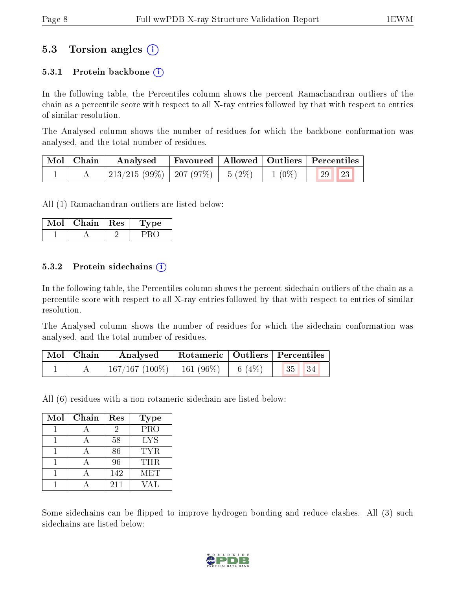### 5.3 Torsion angles (i)

#### 5.3.1 Protein backbone  $(i)$

In the following table, the Percentiles column shows the percent Ramachandran outliers of the chain as a percentile score with respect to all X-ray entries followed by that with respect to entries of similar resolution.

The Analysed column shows the number of residues for which the backbone conformation was analysed, and the total number of residues.

| Mol   Chain | Analysed                           |  |          | Favoured   Allowed   Outliers   Percentiles |  |
|-------------|------------------------------------|--|----------|---------------------------------------------|--|
|             | 213/215 (99%)   207 (97%)   5 (2%) |  | $1(0\%)$ | $\mid$ 29 $\mid$ 23                         |  |

All (1) Ramachandran outliers are listed below:

| Mol | Chain | $\perp$ Res | vpe |
|-----|-------|-------------|-----|
|     |       |             |     |

#### 5.3.2 Protein sidechains  $\left( \widehat{\mathbf{i}} \right)$

In the following table, the Percentiles column shows the percent sidechain outliers of the chain as a percentile score with respect to all X-ray entries followed by that with respect to entries of similar resolution.

The Analysed column shows the number of residues for which the sidechain conformation was analysed, and the total number of residues.

| $\mid$ Mol $\mid$ Chain | Analysed                       | Rotameric   Outliers   Percentiles |         |         |  |
|-------------------------|--------------------------------|------------------------------------|---------|---------|--|
|                         | $167/167 (100\%)$   161 (96\%) |                                    | 6 (4\%) | 35   34 |  |

All (6) residues with a non-rotameric sidechain are listed below:

| Mol | Chain | Res | <b>Type</b> |
|-----|-------|-----|-------------|
|     |       | 2   | PRO         |
|     |       | 58  | <b>LYS</b>  |
|     |       | 86  | TYR.        |
|     |       | 96  | THR.        |
|     |       | 142 | <b>MET</b>  |
|     |       | 211 | VAL.        |

Some sidechains can be flipped to improve hydrogen bonding and reduce clashes. All (3) such sidechains are listed below:

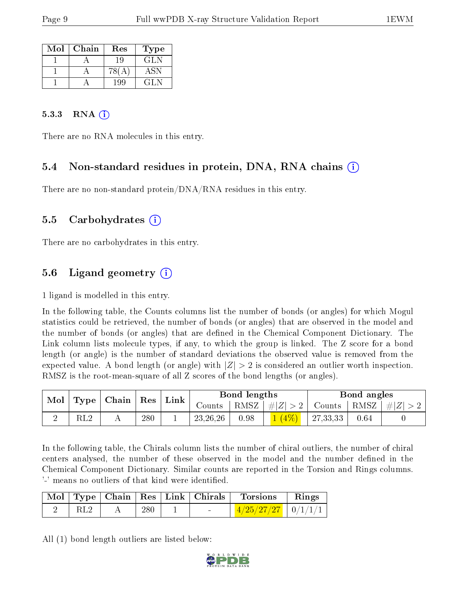| Mol | Chain | $\operatorname{Res}% \left( \mathcal{N}\right) \equiv\operatorname{Res}(\mathcal{N}_{0})\cap\mathcal{N}_{1}$ | Type |
|-----|-------|--------------------------------------------------------------------------------------------------------------|------|
|     |       | 19                                                                                                           | GLN  |
|     |       |                                                                                                              | ASN  |
|     |       |                                                                                                              | CL N |

#### 5.3.3 RNA  $(i)$

There are no RNA molecules in this entry.

### 5.4 Non-standard residues in protein, DNA, RNA chains (i)

There are no non-standard protein/DNA/RNA residues in this entry.

#### 5.5 Carbohydrates (i)

There are no carbohydrates in this entry.

### 5.6 Ligand geometry  $(i)$

1 ligand is modelled in this entry.

In the following table, the Counts columns list the number of bonds (or angles) for which Mogul statistics could be retrieved, the number of bonds (or angles) that are observed in the model and the number of bonds (or angles) that are defined in the Chemical Component Dictionary. The Link column lists molecule types, if any, to which the group is linked. The Z score for a bond length (or angle) is the number of standard deviations the observed value is removed from the expected value. A bond length (or angle) with  $|Z| > 2$  is considered an outlier worth inspection. RMSZ is the root-mean-square of all Z scores of the bond lengths (or angles).

| Mol |                | $\vert$ Type $\vert$ Chain $\vert$ Res $\vert$ |     | $^+$ Link |            | Bond lengths |                 |                             | Bond angles |  |
|-----|----------------|------------------------------------------------|-----|-----------|------------|--------------|-----------------|-----------------------------|-------------|--|
|     |                |                                                |     |           | Counts     |              | RMSZ $ #Z  > 2$ | $\perp$ Counts   RMSZ   # Z |             |  |
|     | $\mathrm{RL}2$ |                                                | 280 |           | 23, 26, 26 | 0.98         |                 | 27,33,33                    | 0.64        |  |

In the following table, the Chirals column lists the number of chiral outliers, the number of chiral centers analysed, the number of these observed in the model and the number defined in the Chemical Component Dictionary. Similar counts are reported in the Torsion and Rings columns. '-' means no outliers of that kind were identified.

|  |     |  | Mol   Type   Chain   Res   Link   Chirals   Torsions | Rings |
|--|-----|--|------------------------------------------------------|-------|
|  | 280 |  | $\frac{4/25/27/27}{10/1/11}$                         |       |

All (1) bond length outliers are listed below:

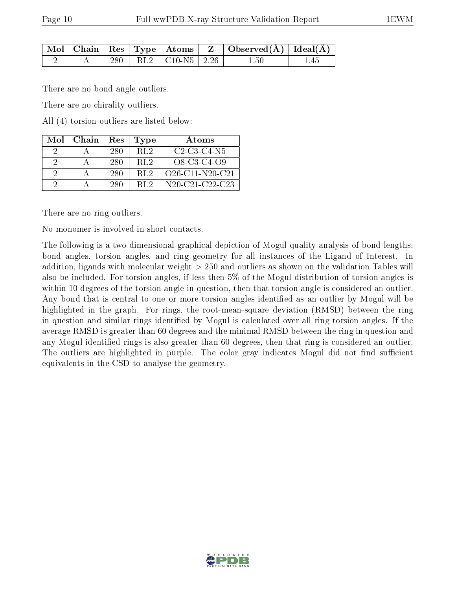|  |  |                           | $\mid$ Mol $\mid$ Chain $\mid$ Res $\mid$ Type $\mid$ Atoms $\mid$ Z $\mid$ Observed(Å) $\mid$ Ideal(Å) $\mid$ |  |
|--|--|---------------------------|----------------------------------------------------------------------------------------------------------------|--|
|  |  | 280   RL2   C10-N5   2.26 | 1.50                                                                                                           |  |

There are no bond angle outliers.

There are no chirality outliers.

All (4) torsion outliers are listed below:

| Mol      | Chain | Res | Type             | Atoms              |
|----------|-------|-----|------------------|--------------------|
|          |       | 280 | R <sub>L</sub> 2 | $C2-C3-C4-N5$      |
| 9        |       | 280 | RL2              | O8-C3-C4-O9        |
| 2        |       | 280 | -RL2             | $O26$ -C11-N20-C21 |
| $\Omega$ |       | 280 | RL <sub>2</sub>  | N20-C21-C22-C23    |

There are no ring outliers.

No monomer is involved in short contacts.

The following is a two-dimensional graphical depiction of Mogul quality analysis of bond lengths, bond angles, torsion angles, and ring geometry for all instances of the Ligand of Interest. In addition, ligands with molecular weight > 250 and outliers as shown on the validation Tables will also be included. For torsion angles, if less then 5% of the Mogul distribution of torsion angles is within 10 degrees of the torsion angle in question, then that torsion angle is considered an outlier. Any bond that is central to one or more torsion angles identified as an outlier by Mogul will be highlighted in the graph. For rings, the root-mean-square deviation (RMSD) between the ring in question and similar rings identified by Mogul is calculated over all ring torsion angles. If the average RMSD is greater than 60 degrees and the minimal RMSD between the ring in question and any Mogul-identified rings is also greater than 60 degrees, then that ring is considered an outlier. The outliers are highlighted in purple. The color gray indicates Mogul did not find sufficient equivalents in the CSD to analyse the geometry.

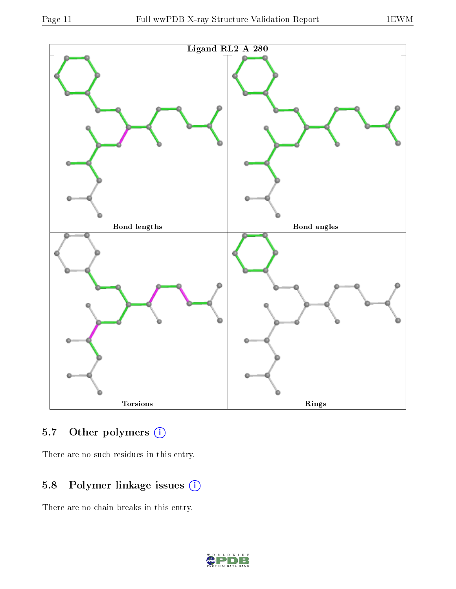

## 5.7 [O](https://www.wwpdb.org/validation/2017/XrayValidationReportHelp#nonstandard_residues_and_ligands)ther polymers (i)

There are no such residues in this entry.

## 5.8 Polymer linkage issues (i)

There are no chain breaks in this entry.

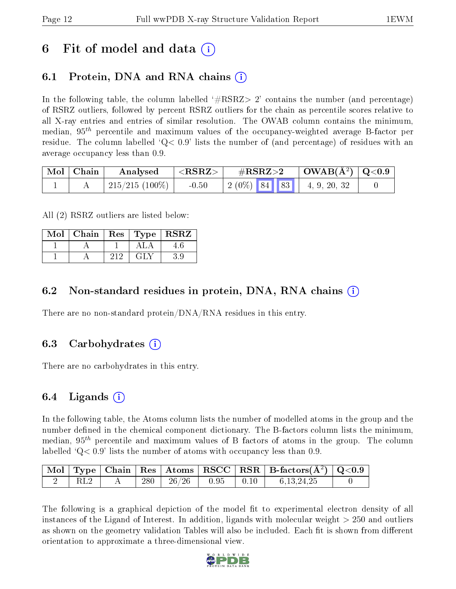## 6 Fit of model and data  $\left( \cdot \right)$

## 6.1 Protein, DNA and RNA chains (i)

In the following table, the column labelled  $#RSRZ>2'$  contains the number (and percentage) of RSRZ outliers, followed by percent RSRZ outliers for the chain as percentile scores relative to all X-ray entries and entries of similar resolution. The OWAB column contains the minimum, median,  $95<sup>th</sup>$  percentile and maximum values of the occupancy-weighted average B-factor per residue. The column labelled  $Q < 0.9$  lists the number of (and percentage) of residues with an average occupancy less than 0.9.

| $\blacksquare$ Mol $\blacksquare$ Chain | Analysed                 | $<$ RSRZ $>$ | $\#\text{RSRZ}\text{>2}$                |              | $\mid$ OWAB(Å <sup>2</sup> ) $\mid$ Q<0.9 |
|-----------------------------------------|--------------------------|--------------|-----------------------------------------|--------------|-------------------------------------------|
|                                         | $^+$ 215/215 (100%) $^-$ | $-0.50$      | $\mid 2\ (0\%)\ \mid 84\ \mid 83\ \mid$ | 4, 9, 20, 32 |                                           |

All (2) RSRZ outliers are listed below:

| Mol |     |      | Chain   Res   Type   RSRZ |
|-----|-----|------|---------------------------|
|     |     |      |                           |
|     | ว1ว | G[N] |                           |

### 6.2 Non-standard residues in protein, DNA, RNA chains  $(i)$

There are no non-standard protein/DNA/RNA residues in this entry.

#### 6.3 Carbohydrates (i)

There are no carbohydrates in this entry.

### 6.4 Ligands  $(i)$

In the following table, the Atoms column lists the number of modelled atoms in the group and the number defined in the chemical component dictionary. The B-factors column lists the minimum, median,  $95<sup>th</sup>$  percentile and maximum values of B factors of atoms in the group. The column labelled  $Q < 0.9$  lists the number of atoms with occupancy less than 0.9.

|     |  |                                                                                          |  | $\boxed{\text{Mol}}$ Type   Chain   Res   Atoms   RSCC   RSR   B-factors $(A^2)$   Q<0.9 |  |
|-----|--|------------------------------------------------------------------------------------------|--|------------------------------------------------------------------------------------------|--|
| RL2 |  | $\begin{array}{ c c c c c c c c } \hline 280 & 26/26 & 0.95 & 0.10 \ \hline \end{array}$ |  | 6,13,24,25                                                                               |  |

The following is a graphical depiction of the model fit to experimental electron density of all instances of the Ligand of Interest. In addition, ligands with molecular weight  $> 250$  and outliers as shown on the geometry validation Tables will also be included. Each fit is shown from different orientation to approximate a three-dimensional view.